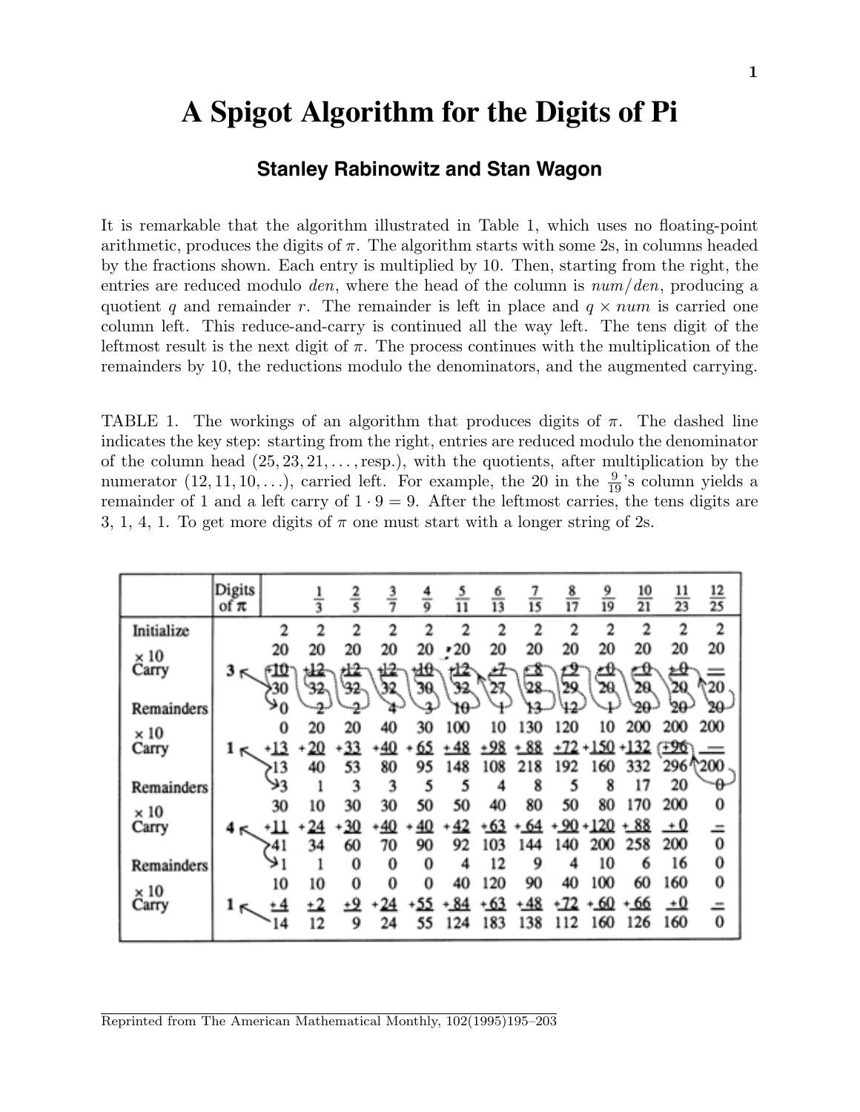# **A Spigot Algorithm for the Digits of Pi**

# **Stanley Rabinowitz and Stan Wagon**

It is remarkable that the algorithm illustrated in Table 1, which uses no floating-point arithmetic, produces the digits of  $\pi$ . The algorithm starts with some 2s, in columns headed by the fractions shown. Each entry is multiplied by 10. Then, starting from the right, the entries are reduced modulo den, where the head of the column is num*/*den, producing a quotient *q* and remainder *r*. The remainder is left in place and  $q \times num$  is carried one column left. This reduce-and-carry is continued all the way left. The tens digit of the leftmost result is the next digit of  $\pi$ . The process continues with the multiplication of the remainders by 10, the reductions modulo the denominators, and the augmented carrying.

TABLE 1. The workings of an algorithm that produces digits of  $\pi$ . The dashed line indicates the key step: starting from the right, entries are reduced modulo the denominator of the column head (25*,* 23*,* 21*,...,*resp*.*), with the quotients, after multiplication by the numerator  $(12, 11, 10, \ldots)$ , carried left. For example, the 20 in the  $\frac{9}{19}$ 's column yields a remainder of 1 and a left carry of  $1 \cdot 9 = 9$ . After the leftmost carries, the tens digits are 3, 1, 4, 1. To get more digits of  $\pi$  one must start with a longer string of 2s.

|             | Digits<br>of $\pi$ |                | $\frac{1}{3}$ | $rac{2}{5}$ | $\frac{3}{7}$ | $\frac{4}{9}$ | $\tilde{\overline{\mathrm{11}}}$ | $\frac{6}{13}$ | Ī3        | $\frac{8}{17}$ | $\frac{9}{19}$ | $\frac{10}{21}$ | $\frac{11}{23}$ | $\frac{12}{25}$ |
|-------------|--------------------|----------------|---------------|-------------|---------------|---------------|----------------------------------|----------------|-----------|----------------|----------------|-----------------|-----------------|-----------------|
| Initialize  |                    | $\overline{2}$ | 2             | 2           | 2             | 2             | 2                                | 2              | 2         | 2              | 2              | 2               | 2               | 2               |
| $\times 10$ |                    | 20             | 20            | 20          | 20            | 20            | $\cdot 20$                       | 20             | 20        | 20             | 20             | 20              | 20              | 20              |
| Carry       | 3<br>к             | F10            |               |             | 屺             | 虵             | 垃                                |                | <u>-8</u> |                |                | <u> - 0</u>     |                 |                 |
|             |                    | 30             | 32            | 32          |               | 30            | 32.                              |                | 28        | 29             |                | 20.             | 20              | 20              |
| Remainders  |                    | >0             | $-2-$         |             | 4-            |               | 10                               |                |           |                |                | $20 -$          | 20              | 20              |
| $\times 10$ |                    | 0              | 20            | 20          | 40            | 30            | 100                              | 10             | 130       | 120            | 10             | 200             | 200             | 200             |
| Carry       |                    |                | 20            | 33          | 40            | 65            | +48                              |                | + 88      | +72            | 150            | $+132$          | <b>E96</b>      |                 |
|             |                    | 13             | 40            | 53          | 80            | 95            | 148                              | 108            | 218       | 192            | 160            | 332             | 296 ^200        |                 |
| Remainders  |                    | ولا            |               | 3           | 3             | 5             | 5                                | 4              | 8         | 5              | 8              | 17              | 20              | -Թ              |
| $\times 10$ |                    | 30             | 10            | 30          | 30            | 50            | 50                               | 40             | 80        | 50             | 80             | 170             | 200             | 0               |
| Carry       |                    | ٠ш             | 24            | 30          | <u>40</u>     | 40            |                                  | 63             | 64        |                | 20             | $+88$           | $+0$            |                 |
|             |                    | >41            | 34            | 60          | 70            | 90            | 92                               | 103            | 144       | 140            | 200            | 258             | 200             | $\bf{0}$        |
| Remainders  |                    | ≯1             | 1             | 0           | 0             | 0             | 4                                | 12             | 9         | 4              | 10             | 6               | 16              | 0               |
| $\times 10$ |                    | 10             | 10            | 0           | 0             | 0             | 40                               | 120            | 90        | 40             | 100            | 60              | 160             | 0               |
| Carry       |                    | <u>+4</u>      | +2            | وب          | 24            |               |                                  | + 63           | 48        |                | 60             | + 66            | $\pm 0$         |                 |
|             |                    | 14             | 12            | 9           | 24            | 55            | 124                              | 183            | 138       | 112            | 160            | 126             | 160             | $\bf{0}$        |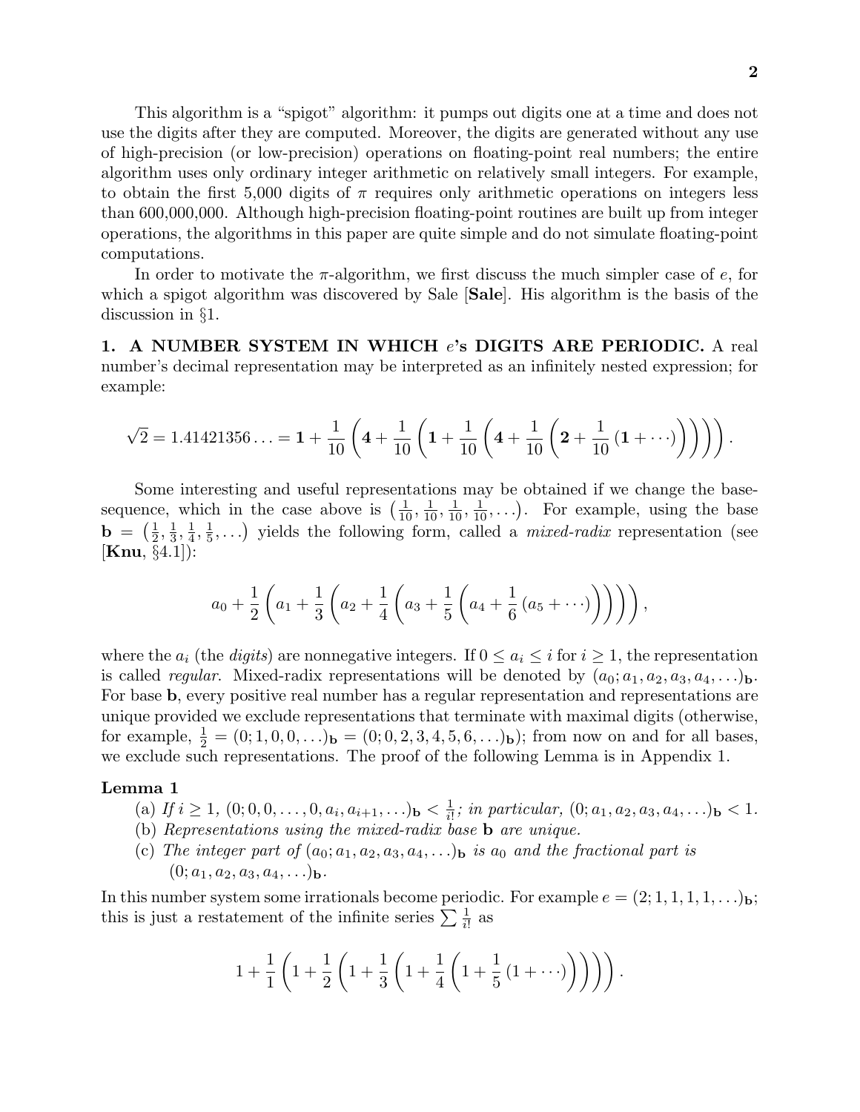This algorithm is a "spigot" algorithm: it pumps out digits one at a time and does not use the digits after they are computed. Moreover, the digits are generated without any use of high-precision (or low-precision) operations on floating-point real numbers; the entire algorithm uses only ordinary integer arithmetic on relatively small integers. For example, to obtain the first 5*,*000 digits of *π* requires only arithmetic operations on integers less than 600*,*000*,*000. Although high-precision floating-point routines are built up from integer operations, the algorithms in this paper are quite simple and do not simulate floating-point computations.

In order to motivate the *π*-algorithm, we first discuss the much simpler case of *e*, for which a spigot algorithm was discovered by Sale [**Sale**]. His algorithm is the basis of the discussion in §1.

**1. A NUMBER SYSTEM IN WHICH** *e***'s DIGITS ARE PERIODIC.** A real number's decimal representation may be interpreted as an infinitely nested expression; for example:

$$
\sqrt{2} = 1.41421356\ldots = 1 + \frac{1}{10} \left( 4 + \frac{1}{10} \left( 1 + \frac{1}{10} \left( 4 + \frac{1}{10} \left( 2 + \frac{1}{10} \left( 1 + \cdots \right) \right) \right) \right) \right).
$$

Some interesting and useful representations may be obtained if we change the basesequence, which in the case above is  $(\frac{1}{10}, \frac{1}{10}, \frac{1}{10}, \frac{1}{10}, \ldots)$ . For example, using the base  $\mathbf{b} = \left(\frac{1}{2}, \frac{1}{3}, \frac{1}{4}, \frac{1}{5}, \ldots\right)$  yields the following form, called a *mixed-radix* representation (see [**Knu**, §4*.*1]):

$$
a_0 + \frac{1}{2} \left( a_1 + \frac{1}{3} \left( a_2 + \frac{1}{4} \left( a_3 + \frac{1}{5} \left( a_4 + \frac{1}{6} \left( a_5 + \cdots \right) \right) \right) \right) \right),
$$

where the  $a_i$  (the *digits*) are nonnegative integers. If  $0 \le a_i \le i$  for  $i \ge 1$ , the representation is called *regular*. Mixed-radix representations will be denoted by  $(a_0; a_1, a_2, a_3, a_4, \ldots)$ **b.** For base **b**, every positive real number has a regular representation and representations are unique provided we exclude representations that terminate with maximal digits (otherwise, for example,  $\frac{1}{2} = (0; 1, 0, 0, \ldots)$ **b** =  $(0; 0, 2, 3, 4, 5, 6, \ldots)$ **b**); from now on and for all bases, we exclude such representations. The proof of the following Lemma is in Appendix 1.

#### **Lemma 1**

- (a) If  $i \ge 1$ ,  $(0; 0, 0, \ldots, 0, a_i, a_{i+1}, \ldots)$   $\mathbf{b} < \frac{1}{i!}$ ; in particular,  $(0; a_1, a_2, a_3, a_4, \ldots)$   $\mathbf{b} < 1$ .
- (b) Representations using the mixed-radix base **b** are unique.
- (c) The integer part of  $(a_0; a_1, a_2, a_3, a_4, \ldots)$  is  $a_0$  and the fractional part is  $(0; a_1, a_2, a_3, a_4, \ldots)$ **b**.

In this number system some irrationals become periodic. For example  $e = (2; 1, 1, 1, 1, \ldots)$ **b**; this is just a restatement of the infinite series  $\sum \frac{1}{i!}$  as

$$
1 + \frac{1}{1} \left( 1 + \frac{1}{2} \left( 1 + \frac{1}{3} \left( 1 + \frac{1}{4} \left( 1 + \frac{1}{5} \left( 1 + \cdots \right) \right) \right) \right) \right).
$$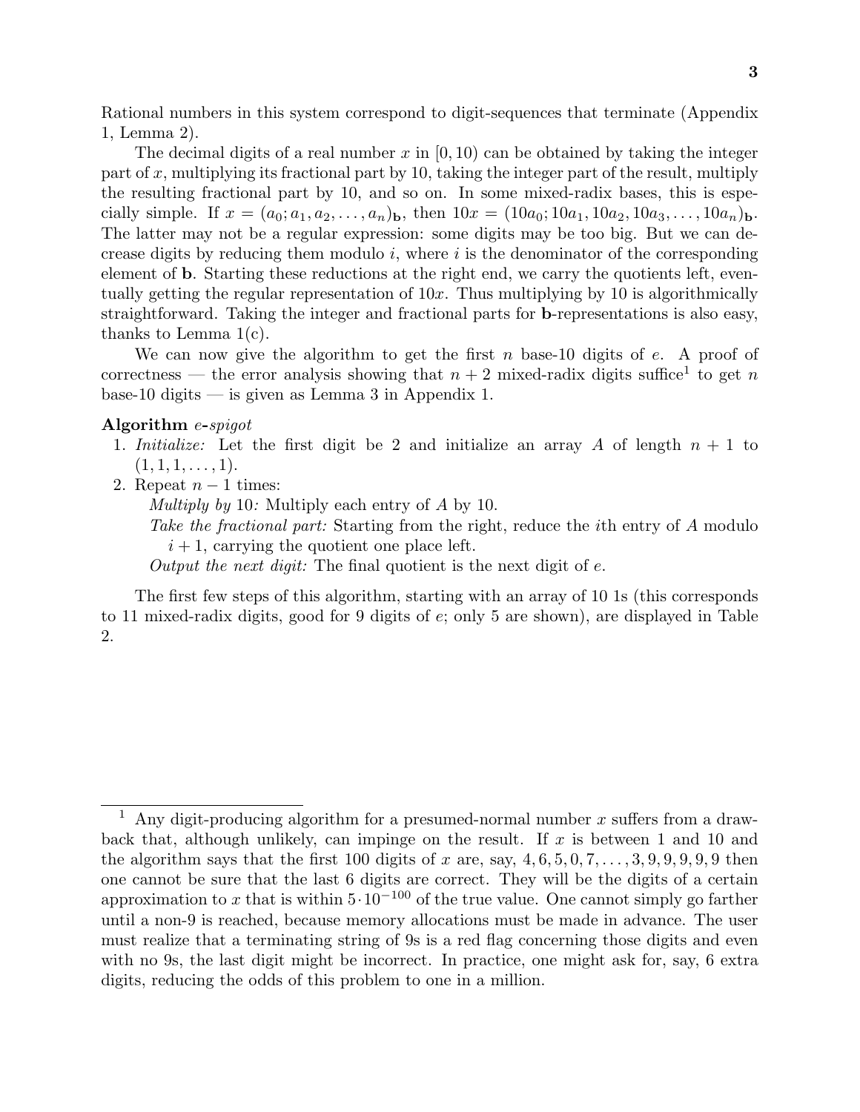Rational numbers in this system correspond to digit-sequences that terminate (Appendix 1, Lemma 2).

The decimal digits of a real number *x* in [0*,* 10) can be obtained by taking the integer part of  $x$ , multiplying its fractional part by 10, taking the integer part of the result, multiply the resulting fractional part by 10, and so on. In some mixed-radix bases, this is especially simple. If  $x = (a_0; a_1, a_2, \ldots, a_n)$ **b**, then  $10x = (10a_0; 10a_1, 10a_2, 10a_3, \ldots, 10a_n)$ **b**. The latter may not be a regular expression: some digits may be too big. But we can decrease digits by reducing them modulo *i*, where *i* is the denominator of the corresponding element of **b**. Starting these reductions at the right end, we carry the quotients left, eventually getting the regular representation of 10*x*. Thus multiplying by 10 is algorithmically straightforward. Taking the integer and fractional parts for **b**-representations is also easy, thanks to Lemma 1(c).

We can now give the algorithm to get the first *n* base-10 digits of *e*. A proof of correctness — the error analysis showing that  $n+2$  mixed-radix digits suffice<sup>1</sup> to get *n* base-10 digits — is given as Lemma 3 in Appendix 1.

## **Algorithm** *e***-**spigot

- 1. Initialize: Let the first digit be 2 and initialize an array *A* of length *n* + 1 to  $(1, 1, 1, \ldots, 1).$
- 2. Repeat  $n-1$  times:

Multiply by 10: Multiply each entry of *A* by 10.

Take the fractional part: Starting from the right, reduce the *i*th entry of *A* modulo  $i+1$ , carrying the quotient one place left.

Output the next digit: The final quotient is the next digit of *e*.

The first few steps of this algorithm, starting with an array of 10 1s (this corresponds to 11 mixed-radix digits, good for 9 digits of *e*; only 5 are shown), are displayed in Table 2.

<sup>1</sup> Any digit-producing algorithm for a presumed-normal number *x* suffers from a drawback that, although unlikely, can impinge on the result. If *x* is between 1 and 10 and the algorithm says that the first 100 digits of  $x$  are, say,  $4, 6, 5, 0, 7, \ldots, 3, 9, 9, 9, 9, 9$  then one cannot be sure that the last 6 digits are correct. They will be the digits of a certain approximation to x that is within  $5 \cdot 10^{-100}$  of the true value. One cannot simply go farther until a non-9 is reached, because memory allocations must be made in advance. The user must realize that a terminating string of 9s is a red flag concerning those digits and even with no 9s, the last digit might be incorrect. In practice, one might ask for, say, 6 extra digits, reducing the odds of this problem to one in a million.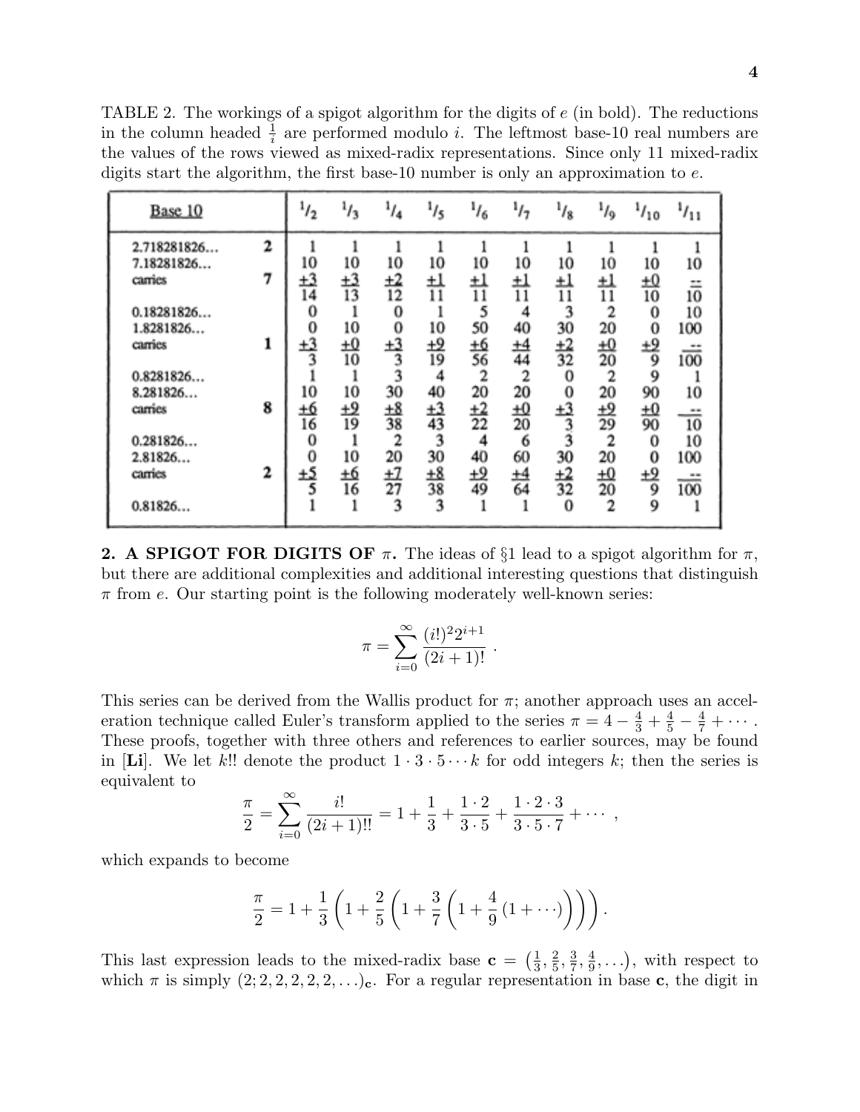TABLE 2. The workings of a spigot algorithm for the digits of *e* (in bold). The reductions in the column headed  $\frac{1}{i}$  are performed modulo *i*. The leftmost base-10 real numbers are the values of the rows viewed as mixed-radix representations. Since only 11 mixed-radix digits start the algorithm, the first base-10 number is only an approximation to *e*.

| Base 10                             |        | $^{1}/_{2}$         | $\frac{1}{3}$               | 1/4                   | $\frac{1}{5}$         | $\frac{1}{6}$              | 1/7                        | $^{1}/_{8}$           | 1/9                               | $^{1/10}$            | 1/11                 |
|-------------------------------------|--------|---------------------|-----------------------------|-----------------------|-----------------------|----------------------------|----------------------------|-----------------------|-----------------------------------|----------------------|----------------------|
| 2.718281826<br>7.18281826<br>camies | 2<br>7 | 10<br>$\pm 3$       | 10                          | 10<br>$_{\pm 2}$      | 10<br>±l              | 10<br>±l                   | 10<br>ᆋ                    | ı<br>10<br>ŦŢ         | 10<br>ŦŢ                          | 10<br>±Ω             | 1<br>10              |
| 0.18281826                          |        | 14<br>0             | $\frac{+3}{13}$             | 12<br>0               | 11                    | 11<br>5                    | 11<br>4                    | 11<br>3               | 11<br>2                           | 10<br>0              | $\equiv$<br>10<br>10 |
| 1.8281826<br>camies                 |        | 0<br>$\pm 3$        | 10<br>$\overline{10}$<br>10 | 0<br>$\pm 3$<br>3     | 10<br><u>+9</u><br>19 | 50<br><u>+6</u><br>56      | 40<br>$\pm 4$<br>44        | 30<br>$\frac{+2}{32}$ | 20<br>£Ω<br>20                    | 0<br>±2<br>9         | 100<br>≕<br>100      |
| 0.8281826<br>8.281826<br>camies     | 8      | 10<br><u>+6</u>     | 10<br>±2                    | 3<br>30<br>$_{\pm 8}$ | 4<br>40               | $\overline{2}$<br>20<br>±2 | $\overline{2}$<br>20<br>£Ω | 0<br>0<br>±3          | 2<br>20                           | 9<br>90              | 10<br>               |
| 0.281826                            |        | 16<br>0             | 19                          | 38<br>2               | $\frac{+3}{43}$<br>3  | 22<br>4                    | 20<br>6                    | 3 3                   | $\frac{+9}{29}$<br>$\overline{c}$ | $\frac{10}{90}$<br>0 | 10<br>10             |
| 2.81826<br>carries                  | 2      | $\bf{0}$<br>±5<br>5 | 10<br><u>+6</u><br>16       | 20<br>±Z<br>27        | 30<br><u>+8</u><br>38 | 40<br>±2<br>49             | 60<br><u>+4</u><br>64      | 30<br>±2<br>32        | 20<br><u>+0</u><br>20             | 0<br>±2<br>9         | 100<br><br>100       |
| 0.81826                             |        |                     | ı                           | 3                     | 3                     |                            |                            | 0                     | 2                                 | 9                    |                      |

**2. A SPIGOT FOR DIGITS OF**  $\pi$ . The ideas of §1 lead to a spigot algorithm for  $\pi$ , but there are additional complexities and additional interesting questions that distinguish *π* from *e*. Our starting point is the following moderately well-known series:

$$
\pi = \sum_{i=0}^{\infty} \frac{(i!)^2 2^{i+1}}{(2i+1)!} .
$$

This series can be derived from the Wallis product for  $\pi$ ; another approach uses an acceleration technique called Euler's transform applied to the series  $\pi = 4 - \frac{4}{3} + \frac{4}{5} - \frac{4}{7} + \cdots$ . These proofs, together with three others and references to earlier sources, may be found in [Li]. We let k!! denote the product  $1 \cdot 3 \cdot 5 \cdots k$  for odd integers k; then the series is equivalent to

$$
\frac{\pi}{2} = \sum_{i=0}^{\infty} \frac{i!}{(2i+1)!!} = 1 + \frac{1}{3} + \frac{1 \cdot 2}{3 \cdot 5} + \frac{1 \cdot 2 \cdot 3}{3 \cdot 5 \cdot 7} + \cdots,
$$

which expands to become

$$
\frac{\pi}{2} = 1 + \frac{1}{3} \left( 1 + \frac{2}{5} \left( 1 + \frac{3}{7} \left( 1 + \frac{4}{9} \left( 1 + \cdots \right) \right) \right) \right).
$$

This last expression leads to the mixed-radix base  $\mathbf{c} = \left(\frac{1}{3}, \frac{2}{5}, \frac{3}{7}, \frac{4}{9}, \ldots\right)$ , with respect to which  $\pi$  is simply  $(2; 2, 2, 2, 2, 2, ...)$ **c**. For a regular representation in base **c**, the digit in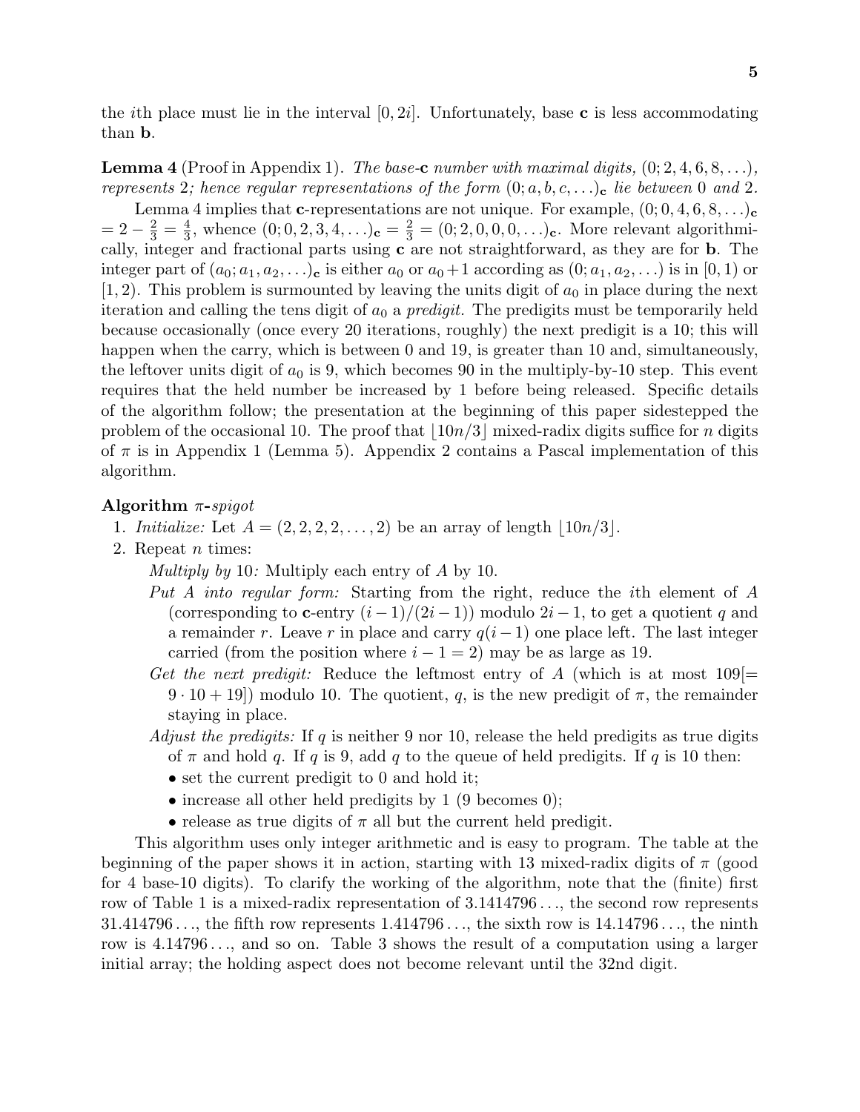the *i*th place must lie in the interval  $[0, 2i]$ . Unfortunately, base **c** is less accommodating than **b**.

**Lemma 4** (Proof in Appendix 1). The base-**c** number with maximal digits, (0; 2*,* 4*,* 6*,* 8*,...*), represents 2; hence regular representations of the form  $(0; a, b, c, \ldots)_{c}$  lie between 0 and 2.

Lemma 4 implies that **c**-representations are not unique. For example,  $(0; 0, 4, 6, 8, \ldots)$ **c**  $= 2 - \frac{2}{3} = \frac{4}{3}$ , whence  $(0, 0, 2, 3, 4, ...)$ **c** =  $\frac{2}{3} = (0, 2, 0, 0, 0, ...)$ **c**. More relevant algorithmically, integer and fractional parts using **c** are not straightforward, as they are for **b**. The integer part of  $(a_0; a_1, a_2, \ldots)$ **c** is either  $a_0$  or  $a_0+1$  according as  $(0; a_1, a_2, \ldots)$  is in  $[0,1)$  or  $(1, 2)$ . This problem is surmounted by leaving the units digit of  $a_0$  in place during the next iteration and calling the tens digit of  $a_0$  a *predigit*. The predigits must be temporarily held because occasionally (once every 20 iterations, roughly) the next predigit is a 10; this will happen when the carry, which is between 0 and 19, is greater than 10 and, simultaneously, the leftover units digit of  $a_0$  is 9, which becomes 90 in the multiply-by-10 step. This event requires that the held number be increased by 1 before being released. Specific details of the algorithm follow; the presentation at the beginning of this paper sidestepped the problem of the occasional 10. The proof that  $|10n/3|$  mixed-radix digits suffice for *n* digits of *π* is in Appendix 1 (Lemma 5). Appendix 2 contains a Pascal implementation of this algorithm.

#### **Algorithm** *π***-**spigot

- 1. *Initialize:* Let  $A = (2, 2, 2, 2, ..., 2)$  be an array of length  $|10n/3|$ .
- 2. Repeat *n* times:

Multiply by 10: Multiply each entry of *A* by 10.

- Put A into regular form: Starting from the right, reduce the *i*th element of *A* (corresponding to **c**-entry  $(i-1)/(2i-1)$ ) modulo  $2i-1$ , to get a quotient *q* and a remainder *r*. Leave *r* in place and carry *q*(*i*−1) one place left. The last integer carried (from the position where  $i - 1 = 2$ ) may be as large as 19.
- Get the next predigit: Reduce the leftmost entry of A (which is at most  $109$ ]=  $(9 \cdot 10 + 19)$  modulo 10. The quotient, *q*, is the new predigit of  $\pi$ , the remainder staying in place.
- Adjust the predigits: If *q* is neither 9 nor 10, release the held predigits as true digits of  $\pi$  and hold  $q$ . If  $q$  is 9, add  $q$  to the queue of held predigits. If  $q$  is 10 then:
	- set the current predigit to 0 and hold it;
	- increase all other held predigits by 1 (9 becomes 0);
	- release as true digits of  $\pi$  all but the current held predigit.

This algorithm uses only integer arithmetic and is easy to program. The table at the beginning of the paper shows it in action, starting with 13 mixed-radix digits of  $\pi$  (good for 4 base-10 digits). To clarify the working of the algorithm, note that the (finite) first row of Table 1 is a mixed-radix representation of 3*.*1414796 *...*, the second row represents 31*.*414796 *...*, the fifth row represents 1*.*414796 *...*, the sixth row is 14*.*14796 *...*, the ninth row is 4*.*14796 *...*, and so on. Table 3 shows the result of a computation using a larger initial array; the holding aspect does not become relevant until the 32nd digit.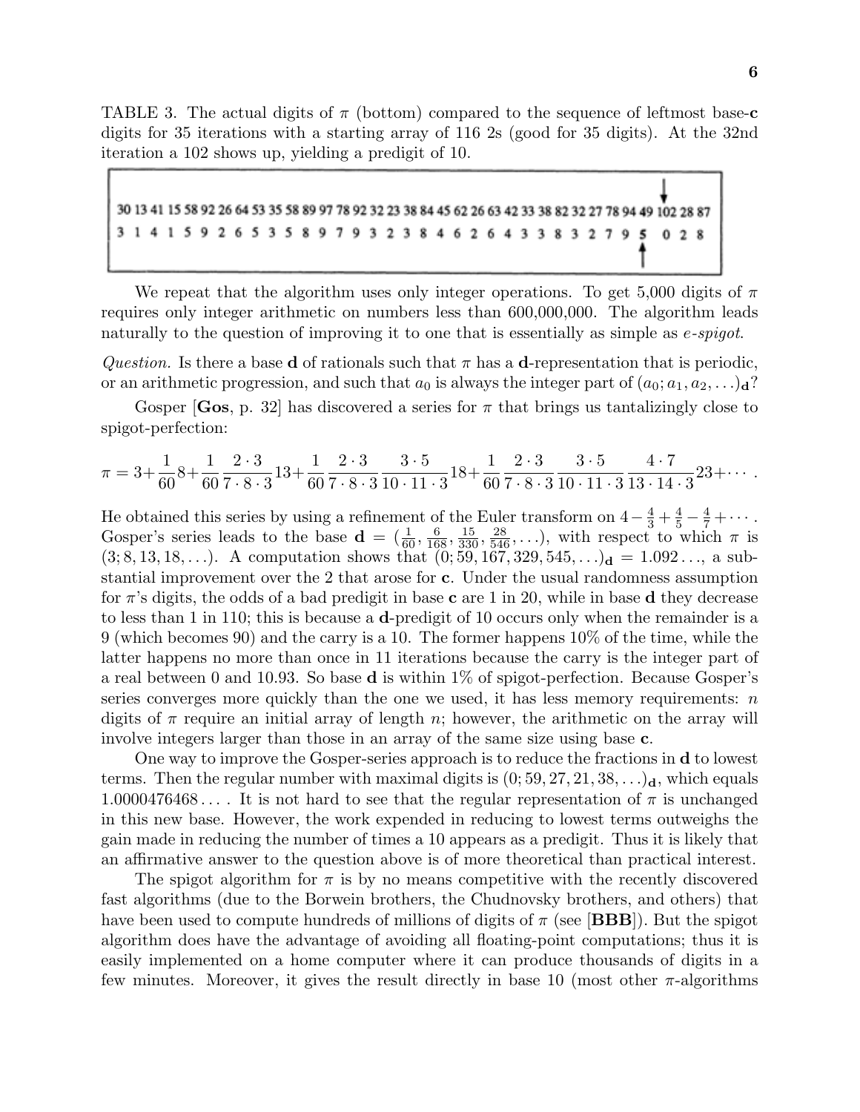TABLE 3. The actual digits of *π* (bottom) compared to the sequence of leftmost base-**c** digits for 35 iterations with a starting array of 116 2s (good for 35 digits). At the 32nd iteration a 102 shows up, yielding a predigit of 10.

15 58 92 26 64 53 35 58 89 97 78 92 32 23 38 84 45 62 26 63 32 27 78 94 49 102 28 87 9 7 9 3 2 3 8 4 6 2 3 5 9 5  $028$ 

We repeat that the algorithm uses only integer operations. To get 5*,*000 digits of *π* requires only integer arithmetic on numbers less than 600*,*000*,*000. The algorithm leads naturally to the question of improving it to one that is essentially as simple as *e*-spigot.

Question. Is there a base **d** of rationals such that  $\pi$  has a **d**-representation that is periodic, or an arithmetic progression, and such that  $a_0$  is always the integer part of  $(a_0; a_1, a_2, \ldots)$ **d**?

Gosper [Gos, p. 32] has discovered a series for  $\pi$  that brings us tantalizingly close to spigot-perfection:

$$
\pi = 3 + \frac{1}{60}8 + \frac{1}{60} \frac{2 \cdot 3}{7 \cdot 8 \cdot 3} 13 + \frac{1}{60} \frac{2 \cdot 3}{7 \cdot 8 \cdot 3} \frac{3 \cdot 5}{10 \cdot 11 \cdot 3} 18 + \frac{1}{60} \frac{2 \cdot 3}{7 \cdot 8 \cdot 3} \frac{3 \cdot 5}{10 \cdot 11 \cdot 3} \frac{4 \cdot 7}{13 \cdot 14 \cdot 3} 23 + \cdots
$$

He obtained this series by using a refinement of the Euler transform on  $4 - \frac{4}{3} + \frac{4}{5} - \frac{4}{7} + \cdots$ . Gosper's series leads to the base  $\mathbf{d} = (\frac{1}{60}, \frac{6}{168}, \frac{15}{330}, \frac{28}{546}, \ldots)$ , with respect to which  $\pi$  is  $(3, 8, 13, 18, \ldots)$ . A computation shows that  $(0, 59, 167, 329, 545, \ldots)$ **d** = 1.092..., a substantial improvement over the 2 that arose for **c**. Under the usual randomness assumption for *π*'s digits, the odds of a bad predigit in base **c** are 1 in 20, while in base **d** they decrease to less than 1 in 110; this is because a **d**-predigit of 10 occurs only when the remainder is a 9 (which becomes 90) and the carry is a 10. The former happens 10% of the time, while the latter happens no more than once in 11 iterations because the carry is the integer part of a real between 0 and 10*.*93. So base **d** is within 1% of spigot-perfection. Because Gosper's series converges more quickly than the one we used, it has less memory requirements: *n* digits of  $\pi$  require an initial array of length  $n$ ; however, the arithmetic on the array will involve integers larger than those in an array of the same size using base **c**.

One way to improve the Gosper-series approach is to reduce the fractions in **d** to lowest terms. Then the regular number with maximal digits is  $(0; 59, 27, 21, 38, \ldots)$ **d**, which equals 1*.*0000476468 *...* . It is not hard to see that the regular representation of *π* is unchanged in this new base. However, the work expended in reducing to lowest terms outweighs the gain made in reducing the number of times a 10 appears as a predigit. Thus it is likely that an affirmative answer to the question above is of more theoretical than practical interest.

The spigot algorithm for  $\pi$  is by no means competitive with the recently discovered fast algorithms (due to the Borwein brothers, the Chudnovsky brothers, and others) that have been used to compute hundreds of millions of digits of  $\pi$  (see [**BBB**]). But the spigot algorithm does have the advantage of avoiding all floating-point computations; thus it is easily implemented on a home computer where it can produce thousands of digits in a few minutes. Moreover, it gives the result directly in base 10 (most other *π*-algorithms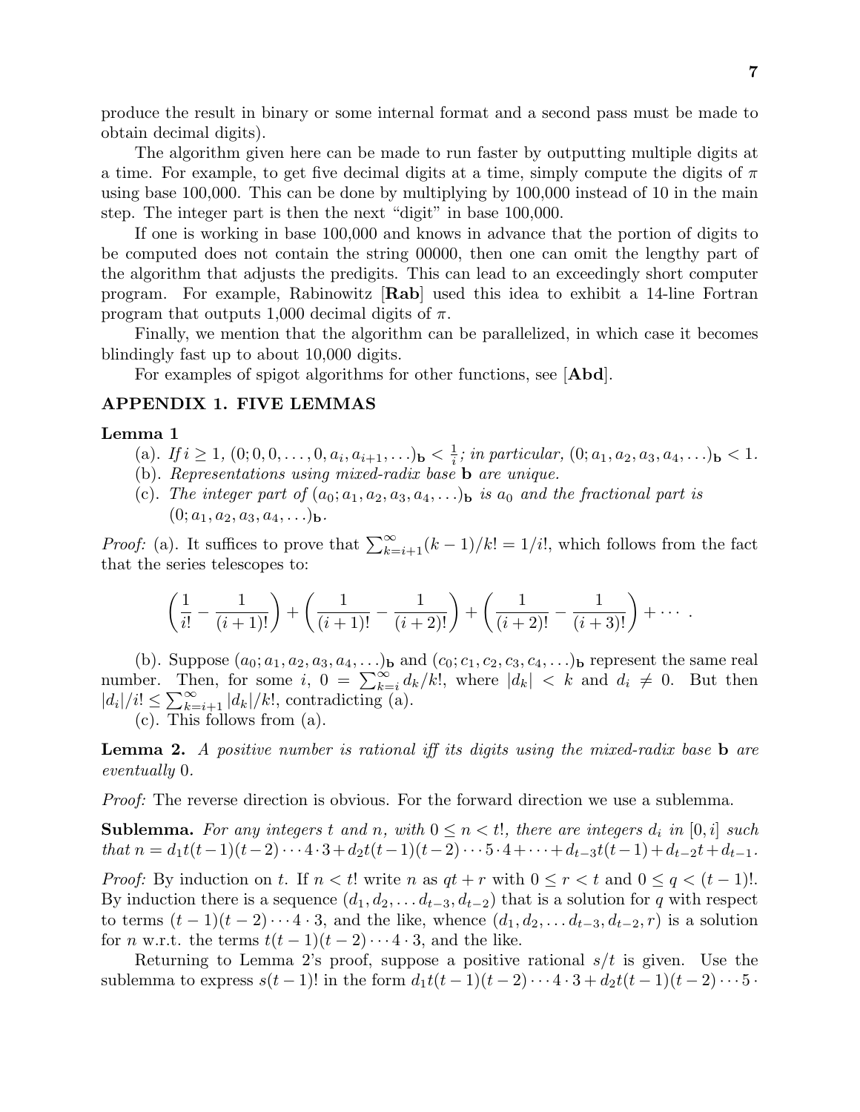produce the result in binary or some internal format and a second pass must be made to obtain decimal digits).

The algorithm given here can be made to run faster by outputting multiple digits at a time. For example, to get five decimal digits at a time, simply compute the digits of *π* using base 100*,*000. This can be done by multiplying by 100*,*000 instead of 10 in the main step. The integer part is then the next "digit" in base 100*,*000.

If one is working in base 100*,*000 and knows in advance that the portion of digits to be computed does not contain the string 00000, then one can omit the lengthy part of the algorithm that adjusts the predigits. This can lead to an exceedingly short computer program. For example, Rabinowitz [**Rab**] used this idea to exhibit a 14-line Fortran program that outputs 1*,*000 decimal digits of *π*.

Finally, we mention that the algorithm can be parallelized, in which case it becomes blindingly fast up to about 10*,*000 digits.

For examples of spigot algorithms for other functions, see [**Abd**].

## **APPENDIX 1. FIVE LEMMAS**

#### **Lemma 1**

- (a). If  $i \ge 1$ ,  $(0; 0, 0, \ldots, 0, a_i, a_{i+1}, \ldots)$ **b**  $\lt \frac{1}{i}$ ; in particular,  $(0; a_1, a_2, a_3, a_4, \ldots)$ **b**  $\lt 1$ .
- (b). Representations using mixed-radix base **b** are unique.
- (c). The integer part of  $(a_0; a_1, a_2, a_3, a_4, \ldots)$  is  $a_0$  and the fractional part is  $(0; a_1, a_2, a_3, a_4, \ldots)$ **b**.

*Proof:* (a). It suffices to prove that  $\sum_{k=i+1}^{\infty} (k-1)/k! = 1/i!$ , which follows from the fact that the series telescopes to:

$$
\left(\frac{1}{i!}-\frac{1}{(i+1)!}\right)+\left(\frac{1}{(i+1)!}-\frac{1}{(i+2)!}\right)+\left(\frac{1}{(i+2)!}-\frac{1}{(i+3)!}\right)+\cdots.
$$

(b). Suppose  $(a_0; a_1, a_2, a_3, a_4, \ldots)$ **b** and  $(c_0; c_1, c_2, c_3, c_4, \ldots)$ **b** represent the same real number. Then, for some *i*,  $0 = \sum_{k=i}^{\infty} d_k / k!$ , where  $|d_k| < k$  and  $d_i \neq 0$ . But then  $|d_i|/i! \leq \sum_{k=i+1}^{\infty} |d_k|/k!$ , contradicting (a).

(c). This follows from (a).

**Lemma 2.** A positive number is rational iff its digits using the mixed-radix base **b** are eventually 0.

*Proof:* The reverse direction is obvious. For the forward direction we use a sublemma.

**Sublemma.** For any integers t and n, with  $0 \leq n < t$ , there are integers  $d_i$  in  $[0, i]$  such *that*  $n = d_1 t(t-1)(t-2)\cdots 4\cdot 3 + d_2 t(t-1)(t-2)\cdots 5\cdot 4 + \cdots + d_{t-3} t(t-1) + d_{t-2} t + d_{t-1}.$ 

*Proof:* By induction on *t*. If  $n < t!$  write *n* as  $qt + r$  with  $0 \le r < t$  and  $0 \le q < (t-1)!$ . By induction there is a sequence  $(d_1, d_2, \ldots, d_{t-3}, d_{t-2})$  that is a solution for *q* with respect to terms  $(t-1)(t-2)\cdots 4\cdot 3$ , and the like, whence  $(d_1, d_2, \ldots d_{t-3}, d_{t-2}, r)$  is a solution for *n* w.r.t. the terms  $t(t-1)(t-2)\cdots 4\cdot 3$ , and the like.

Returning to Lemma 2's proof, suppose a positive rational *s/t* is given. Use the sublemma to express  $s(t-1)!$  in the form  $d_1t(t-1)(t-2)\cdots 4\cdot 3 + d_2t(t-1)(t-2)\cdots 5\cdot$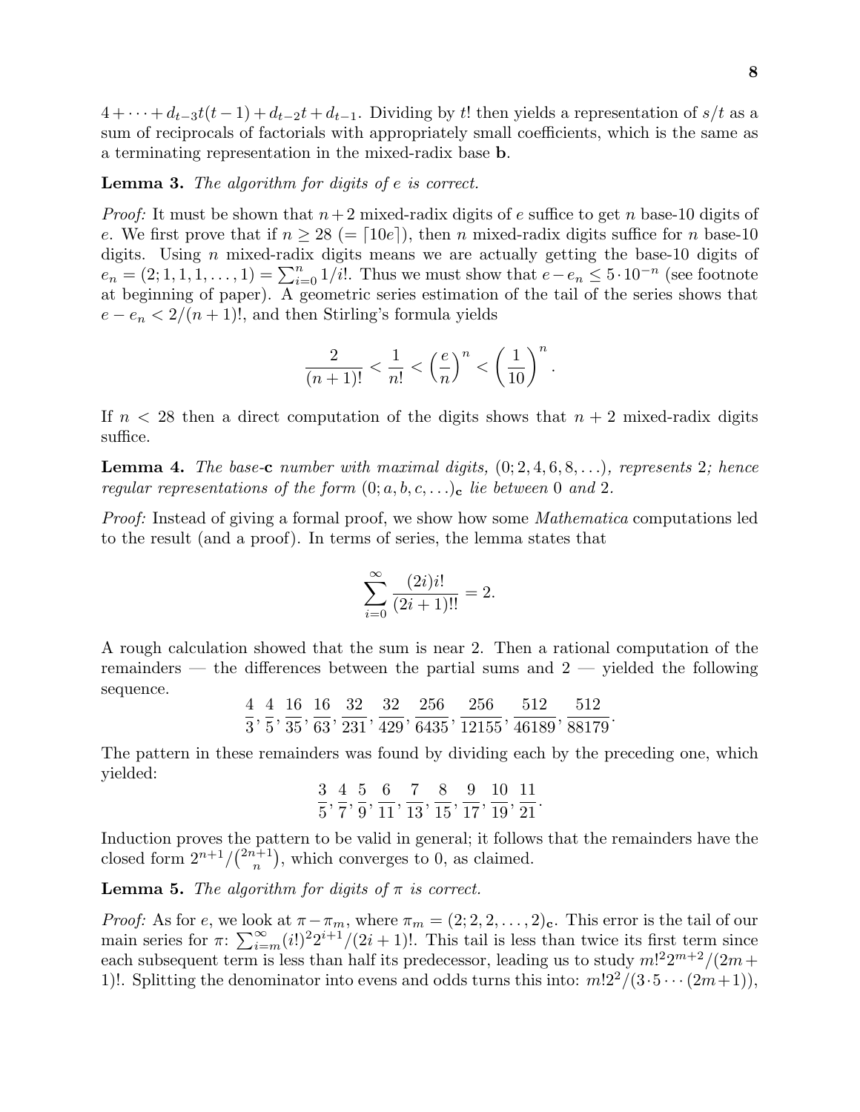$4 + \cdots + d_{t-3}t(t-1) + d_{t-2}t + d_{t-1}$ . Dividing by *t*! then yields a representation of *s/t* as a sum of reciprocals of factorials with appropriately small coefficients, which is the same as a terminating representation in the mixed-radix base **b**.

### **Lemma 3.** The algorithm for digits of *e* is correct.

Proof: It must be shown that *n*+2 mixed-radix digits of *e* suffice to get *n* base-10 digits of *e*. We first prove that if  $n \geq 28$  (= [10*e*]), then *n* mixed-radix digits suffice for *n* base-10 digits. Using *n* mixed-radix digits means we are actually getting the base-10 digits of  $e_n = (2; 1, 1, 1, \ldots, 1) = \sum_{i=0}^n 1/i!$ . Thus we must show that  $e - e_n \leq 5 \cdot 10^{-n}$  (see footnote at beginning of paper). A geometric series estimation of the tail of the series shows that  $e - e_n < 2/(n+1)!$ , and then Stirling's formula yields

$$
\frac{2}{(n+1)!} < \frac{1}{n!} < \left(\frac{e}{n}\right)^n < \left(\frac{1}{10}\right)^n.
$$

If  $n < 28$  then a direct computation of the digits shows that  $n + 2$  mixed-radix digits suffice.

**Lemma 4.** The base-**c** number with maximal digits,  $(0; 2, 4, 6, 8, \ldots)$ , represents 2; hence regular representations of the form  $(0; a, b, c, \ldots)$ <sub>c</sub> lie between 0 and 2.

Proof: Instead of giving a formal proof, we show how some Mathematica computations led to the result (and a proof). In terms of series, the lemma states that

$$
\sum_{i=0}^{\infty} \frac{(2i)i!}{(2i+1)!!} = 2.
$$

A rough calculation showed that the sum is near 2. Then a rational computation of the remainders — the differences between the partial sums and  $2$  — yielded the following sequence.

4 3 *,* 4 5 *,* 16  $rac{18}{35}$ ,  $\frac{16}{63}, \frac{32}{231}, \frac{32}{429}, \frac{256}{6435}, \frac{256}{12155}, \frac{512}{46189}, \frac{512}{88179}.$ 

The pattern in these remainders was found by dividing each by the preceding one, which yielded:

$$
\frac{3}{5}, \frac{4}{7}, \frac{5}{9}, \frac{6}{11}, \frac{7}{13}, \frac{8}{15}, \frac{9}{17}, \frac{10}{19}, \frac{11}{21}.
$$

Induction proves the pattern to be valid in general; it follows that the remainders have the closed form  $2^{n+1}/\binom{2n+1}{n}$ , which converges to 0, as claimed.

**Lemma 5.** The algorithm for digits of  $\pi$  is correct.

*Proof:* As for *e*, we look at  $\pi - \pi_m$ , where  $\pi_m = (2, 2, 2, \ldots, 2)_{c}$ . This error is the tail of our main series for  $\pi$ :  $\sum_{i=m}^{\infty} (i!)^2 2^{i+1} / (2i+1)!$ . This tail is less than twice its first term since each subsequent term is less than half its predecessor, leading us to study  $m!^22^{m+2}/(2m+1)$ 1)!. Splitting the denominator into evens and odds turns this into:  $m!2^2/(3\cdot5\cdots(2m+1))$ ,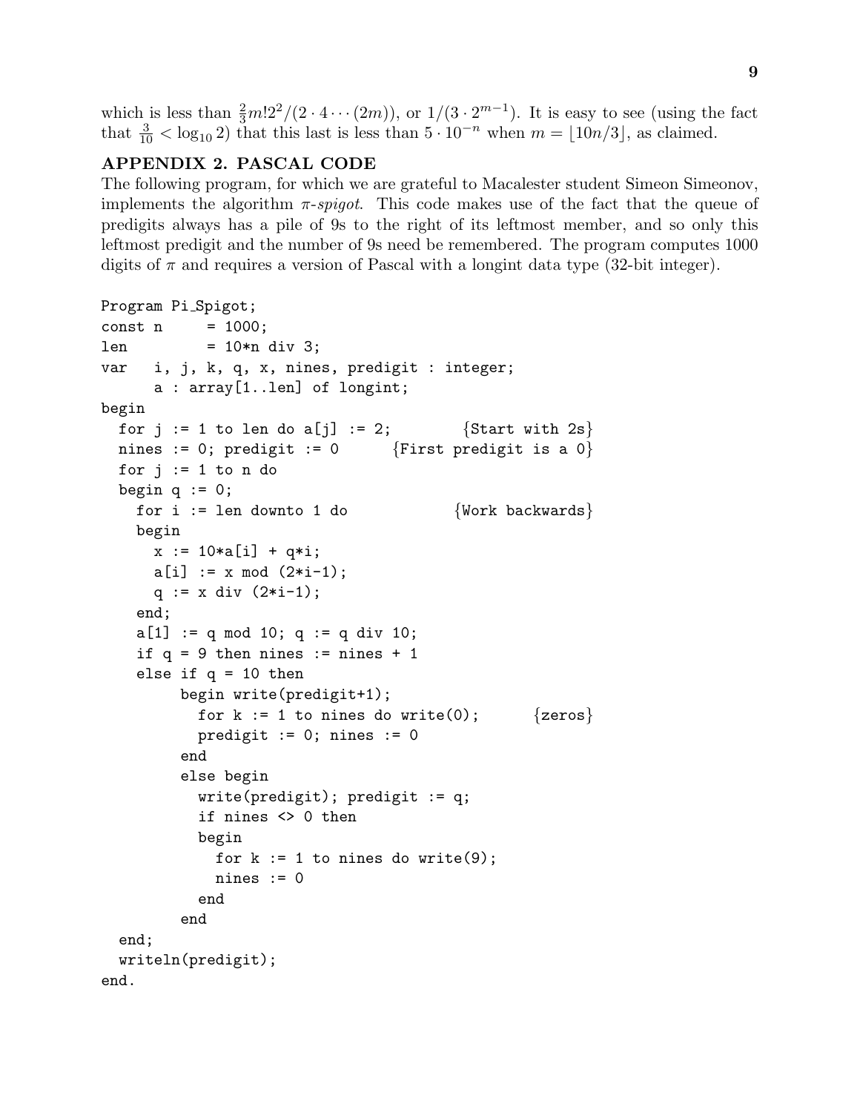which is less than  $\frac{2}{3}m!2^2/(2 \cdot 4 \cdots (2m))$ , or  $1/(3 \cdot 2^{m-1})$ . It is easy to see (using the fact that  $\frac{3}{10}$  < log<sub>10</sub> 2) that this last is less than  $5 \cdot 10^{-n}$  when  $m = \lfloor 10n/3 \rfloor$ , as claimed.

# **APPENDIX 2. PASCAL CODE**

The following program, for which we are grateful to Macalester student Simeon Simeonov, implements the algorithm *π*-spigot. This code makes use of the fact that the queue of predigits always has a pile of 9s to the right of its leftmost member, and so only this leftmost predigit and the number of 9s need be remembered. The program computes 1000 digits of  $\pi$  and requires a version of Pascal with a longint data type (32-bit integer).

```
Program Pi Spigot;
const n = 1000;len = 10*n div 3;
var i, j, k, q, x, nines, predigit : integer;
     a : array[1..len] of longint;
begin
 for j := 1 to len do a[j] := 2; {Start with 2s}
 nines := 0; predigit := 0 {First predict is a 0}for j := 1 to n do
 begin q := 0;
   for i := len downto 1 do \{Work backwards\}begin
     x := 10*a[i] + q*i;a[i] := x \mod (2*i-1);q := x div (2*i-1);
   end;
   a[1] := q \mod 10; q := q \text{ div } 10;if q = 9 then nines := nines + 1
   else if q = 10 then
        begin write(predigit+1);
          for k := 1 to nines do write(0); \{zeros\}predigit := 0; nines := 0end
        else begin
          write(predigit); predigit := q;
          if nines <> 0 then
          begin
            for k := 1 to nines do write(9);
            nines := 0end
        end
 end;
 writeln(predigit);
end.
```